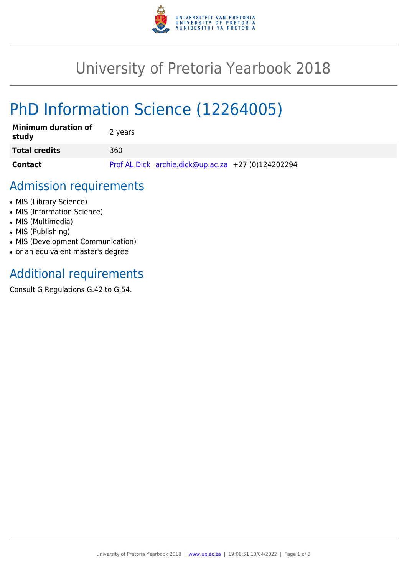

## University of Pretoria Yearbook 2018

# PhD Information Science (12264005)

| <b>Minimum duration of</b><br>study | 2 years                                            |
|-------------------------------------|----------------------------------------------------|
| <b>Total credits</b>                | 360                                                |
| Contact                             | Prof AL Dick archie.dick@up.ac.za +27 (0)124202294 |

#### Admission requirements

- MIS (Library Science)
- MIS (Information Science)
- MIS (Multimedia)
- MIS (Publishing)
- MIS (Development Communication)
- or an equivalent master's degree

## Additional requirements

Consult G Regulations G.42 to G.54.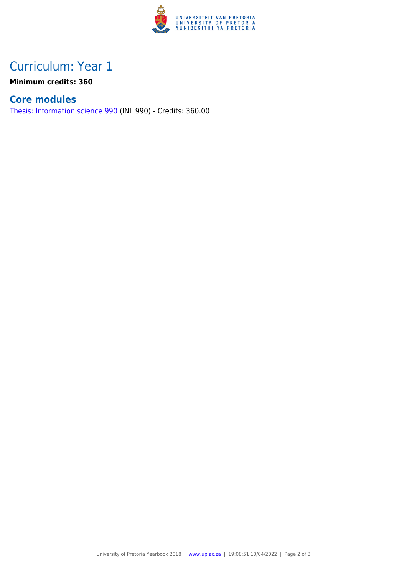

### Curriculum: Year 1

**Minimum credits: 360**

#### **Core modules**

[Thesis: Information science 990](https://www.up.ac.za/faculty-of-education/yearbooks/2018/modules/view/INL 990) (INL 990) - Credits: 360.00